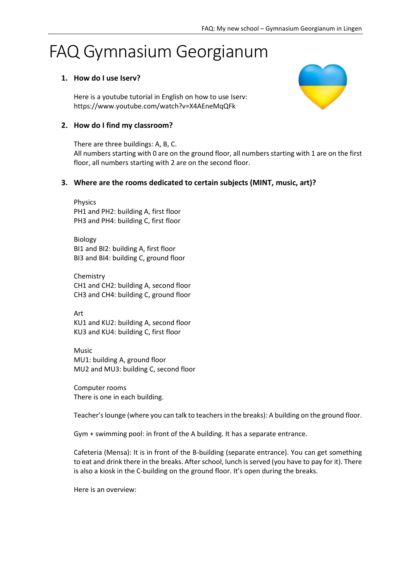# FAQ Gymnasium Georgianum

## **1. How do I use Iserv?**

Here is a youtube tutorial in English on how to use Iserv: <https://www.youtube.com/watch?v=X4AEneMqQFk>

## **2. How do I find my classroom?**

There are three buildings: A, B, C.

All numbers starting with 0 are on the ground floor, all numbers starting with 1 are on the first floor, all numbers starting with 2 are on the second floor.

#### **3. Where are the rooms dedicated to certain subjects (MINT, music, art)?**

Physics PH1 and PH2: building A, first floor PH3 and PH4: building C, first floor

Biology BI1 and BI2: building A, first floor BI3 and BI4: building C, ground floor

Chemistry CH1 and CH2: building A, second floor CH3 and CH4: building C, ground floor

Art KU1 and KU2: building A, second floor KU3 and KU4: building C, first floor

Music MU1: building A, ground floor MU2 and MU3: building C, second floor

Computer rooms There is one in each building.

Teacher's lounge (where you can talk to teachers in the breaks): A building on the ground floor.

Gym + swimming pool: in front of the A building. It has a separate entrance.

Cafeteria (Mensa): It is in front of the B-building (separate entrance). You can get something to eat and drink there in the breaks. After school, lunch is served (you have to pay for it). There is also a kiosk in the C-building on the ground floor. It's open during the breaks.

Here is an overview:

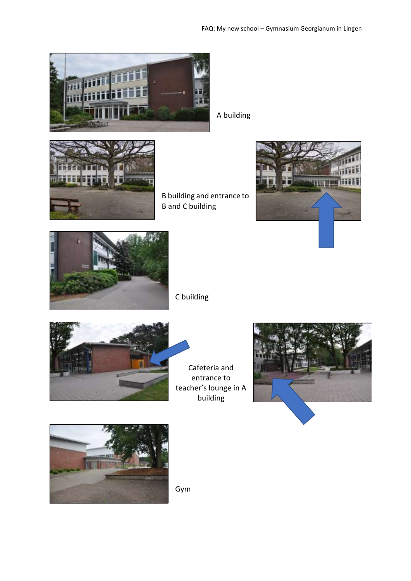

A building



B building and entrance to B and C building





C building



Cafeteria and entrance to teacher's lounge in A building





Gym